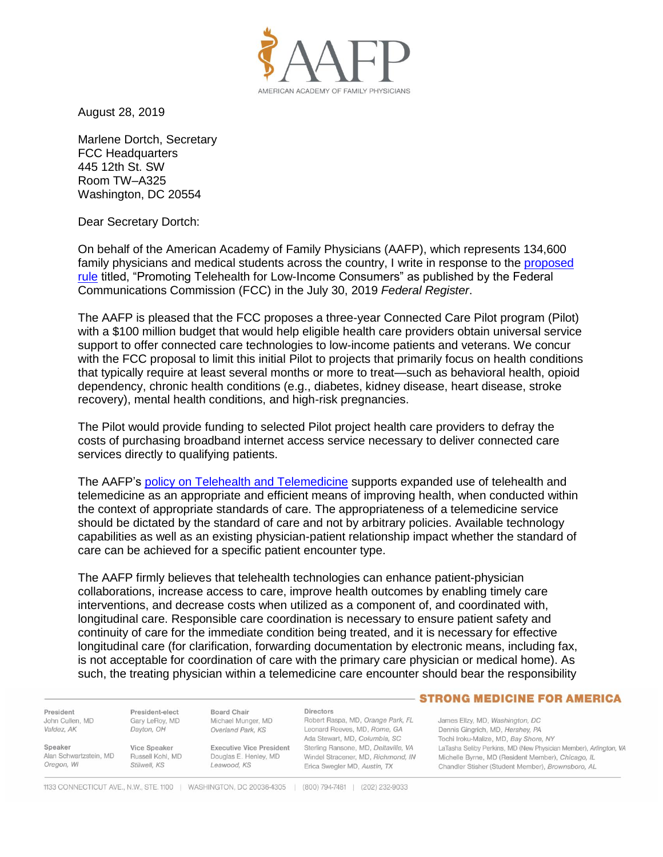

August 28, 2019

Marlene Dortch, Secretary FCC Headquarters 445 12th St. SW Room TW–A325 Washington, DC 20554

Dear Secretary Dortch:

On behalf of the American Academy of Family Physicians (AAFP), which represents 134,600 family physicians and medical students across the country, I write in response to the [proposed](https://www.govinfo.gov/content/pkg/FR-2019-07-30/pdf/2019-16077.pdf)  [rule](https://www.govinfo.gov/content/pkg/FR-2019-07-30/pdf/2019-16077.pdf) titled, "Promoting Telehealth for Low-Income Consumers" as published by the Federal Communications Commission (FCC) in the July 30, 2019 *Federal Register*.

The AAFP is pleased that the FCC proposes a three-year Connected Care Pilot program (Pilot) with a \$100 million budget that would help eligible health care providers obtain universal service support to offer connected care technologies to low-income patients and veterans. We concur with the FCC proposal to limit this initial Pilot to projects that primarily focus on health conditions that typically require at least several months or more to treat—such as behavioral health, opioid dependency, chronic health conditions (e.g., diabetes, kidney disease, heart disease, stroke recovery), mental health conditions, and high-risk pregnancies.

The Pilot would provide funding to selected Pilot project health care providers to defray the costs of purchasing broadband internet access service necessary to deliver connected care services directly to qualifying patients.

The AAFP's [policy on Telehealth and Telemedicine](https://www.aafp.org/about/policies/all/telemedicine.html) supports expanded use of telehealth and telemedicine as an appropriate and efficient means of improving health, when conducted within the context of appropriate standards of care. The appropriateness of a telemedicine service should be dictated by the standard of care and not by arbitrary policies. Available technology capabilities as well as an existing physician-patient relationship impact whether the standard of care can be achieved for a specific patient encounter type.

The AAFP firmly believes that telehealth technologies can enhance patient-physician collaborations, increase access to care, improve health outcomes by enabling timely care interventions, and decrease costs when utilized as a component of, and coordinated with, longitudinal care. Responsible care coordination is necessary to ensure patient safety and continuity of care for the immediate condition being treated, and it is necessary for effective longitudinal care (for clarification, forwarding documentation by electronic means, including fax, is not acceptable for coordination of care with the primary care physician or medical home). As such, the treating physician within a telemedicine care encounter should bear the responsibility

President John Cullen, MD Valdez, AK

Alan Schwartzstein, MD

Speaker

Oregon, WI

President-elect Gary LeRoy, MD Dayton, OH

Vice Speaker

Stilwell, KS

Russell Kohl, MD

Overland Park, KS **Executive Vice President** Douglas E. Henley, MD Leawood, KS

**Board Chair** 

Michael Munger, MD

Directors Robert Raspa, MD, Orange Park, FL Leonard Reeves, MD, Rome, GA Ada Stewart, MD, Columbia, SC Sterling Ransone, MD, Deltaville, VA Windel Stracener, MD, Richmond, IN Erica Swegler MD, Austin, TX

## - STRONG MEDICINE FOR AMERICA

James Ellzy, MD, Washington, DC Dennis Gingrich, MD, Hershey, PA Tochi Iroku-Malize, MD, Bay Shore, NY LaTasha Seliby Perkins, MD (New Physician Member), Arlington, VA Michelle Byrne, MD (Resident Member), Chicago, IL Chandler Stisher (Student Member), Brownsboro, AL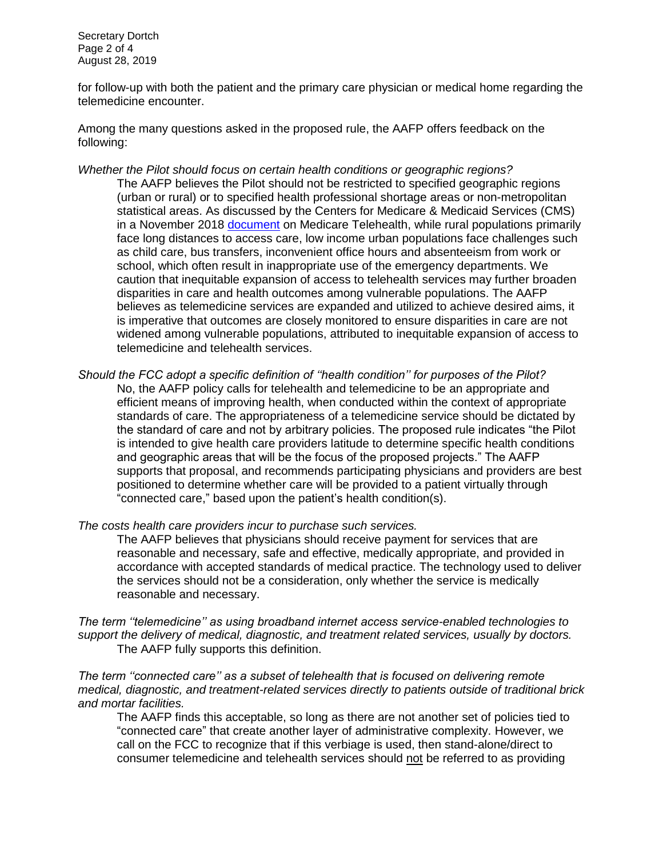Secretary Dortch Page 2 of 4 August 28, 2019

for follow-up with both the patient and the primary care physician or medical home regarding the telemedicine encounter.

Among the many questions asked in the proposed rule, the AAFP offers feedback on the following:

- *Whether the Pilot should focus on certain health conditions or geographic regions?* The AAFP believes the Pilot should not be restricted to specified geographic regions (urban or rural) or to specified health professional shortage areas or non-metropolitan statistical areas. As discussed by the Centers for Medicare & Medicaid Services (CMS) in a November 2018 [document](https://www.cms.gov/About-CMS/Agency-Information/OMH/Downloads/Information-on-Medicare-Telehealth-Report.pdf) on Medicare Telehealth, while rural populations primarily face long distances to access care, low income urban populations face challenges such as child care, bus transfers, inconvenient office hours and absenteeism from work or school, which often result in inappropriate use of the emergency departments. We caution that inequitable expansion of access to telehealth services may further broaden disparities in care and health outcomes among vulnerable populations. The AAFP believes as telemedicine services are expanded and utilized to achieve desired aims, it is imperative that outcomes are closely monitored to ensure disparities in care are not widened among vulnerable populations, attributed to inequitable expansion of access to telemedicine and telehealth services.
- *Should the FCC adopt a specific definition of ''health condition'' for purposes of the Pilot?*  No, the AAFP policy calls for telehealth and telemedicine to be an appropriate and efficient means of improving health, when conducted within the context of appropriate standards of care. The appropriateness of a telemedicine service should be dictated by the standard of care and not by arbitrary policies. The proposed rule indicates "the Pilot is intended to give health care providers latitude to determine specific health conditions and geographic areas that will be the focus of the proposed projects." The AAFP supports that proposal, and recommends participating physicians and providers are best positioned to determine whether care will be provided to a patient virtually through "connected care," based upon the patient's health condition(s).
- *The costs health care providers incur to purchase such services.*

The AAFP believes that physicians should receive payment for services that are reasonable and necessary, safe and effective, medically appropriate, and provided in accordance with accepted standards of medical practice. The technology used to deliver the services should not be a consideration, only whether the service is medically reasonable and necessary.

*The term ''telemedicine'' as using broadband internet access service-enabled technologies to support the delivery of medical, diagnostic, and treatment related services, usually by doctors.*  The AAFP fully supports this definition.

*The term ''connected care'' as a subset of telehealth that is focused on delivering remote medical, diagnostic, and treatment-related services directly to patients outside of traditional brick and mortar facilities.*

The AAFP finds this acceptable, so long as there are not another set of policies tied to "connected care" that create another layer of administrative complexity. However, we call on the FCC to recognize that if this verbiage is used, then stand-alone/direct to consumer telemedicine and telehealth services should not be referred to as providing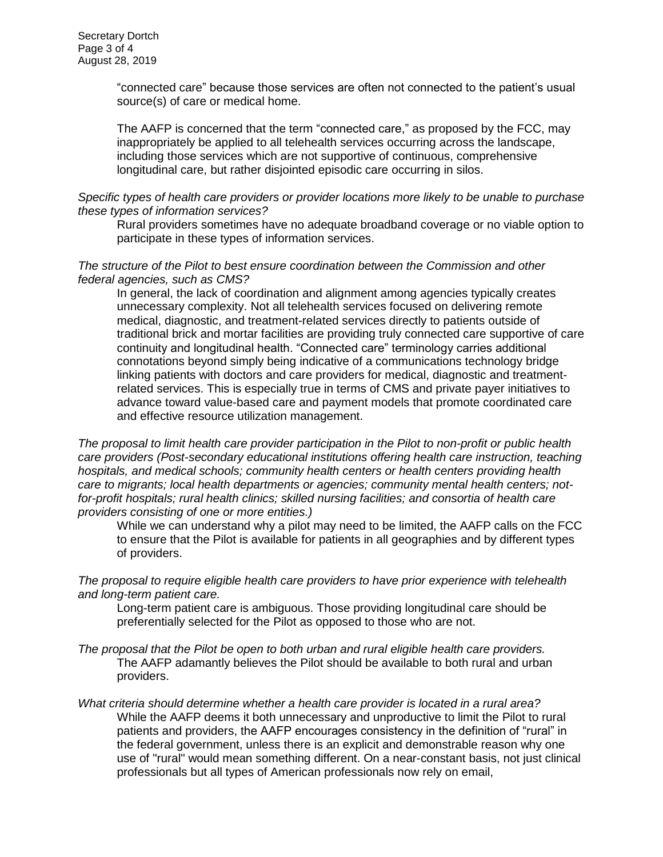"connected care" because those services are often not connected to the patient's usual source(s) of care or medical home.

The AAFP is concerned that the term "connected care," as proposed by the FCC, may inappropriately be applied to all telehealth services occurring across the landscape, including those services which are not supportive of continuous, comprehensive longitudinal care, but rather disjointed episodic care occurring in silos.

## *Specific types of health care providers or provider locations more likely to be unable to purchase these types of information services?*

Rural providers sometimes have no adequate broadband coverage or no viable option to participate in these types of information services.

## *The structure of the Pilot to best ensure coordination between the Commission and other federal agencies, such as CMS?*

In general, the lack of coordination and alignment among agencies typically creates unnecessary complexity. Not all telehealth services focused on delivering remote medical, diagnostic, and treatment-related services directly to patients outside of traditional brick and mortar facilities are providing truly connected care supportive of care continuity and longitudinal health. "Connected care" terminology carries additional connotations beyond simply being indicative of a communications technology bridge linking patients with doctors and care providers for medical, diagnostic and treatmentrelated services. This is especially true in terms of CMS and private payer initiatives to advance toward value-based care and payment models that promote coordinated care and effective resource utilization management.

*The proposal to limit health care provider participation in the Pilot to non-profit or public health care providers (Post-secondary educational institutions offering health care instruction, teaching hospitals, and medical schools; community health centers or health centers providing health care to migrants; local health departments or agencies; community mental health centers; notfor-profit hospitals; rural health clinics; skilled nursing facilities; and consortia of health care providers consisting of one or more entities.)*

While we can understand why a pilot may need to be limited, the AAFP calls on the FCC to ensure that the Pilot is available for patients in all geographies and by different types of providers.

*The proposal to require eligible health care providers to have prior experience with telehealth and long-term patient care.* 

Long-term patient care is ambiguous. Those providing longitudinal care should be preferentially selected for the Pilot as opposed to those who are not.

*The proposal that the Pilot be open to both urban and rural eligible health care providers.*  The AAFP adamantly believes the Pilot should be available to both rural and urban providers.

*What criteria should determine whether a health care provider is located in a rural area?* While the AAFP deems it both unnecessary and unproductive to limit the Pilot to rural patients and providers, the AAFP encourages consistency in the definition of "rural" in the federal government, unless there is an explicit and demonstrable reason why one use of "rural" would mean something different. On a near-constant basis, not just clinical professionals but all types of American professionals now rely on email,